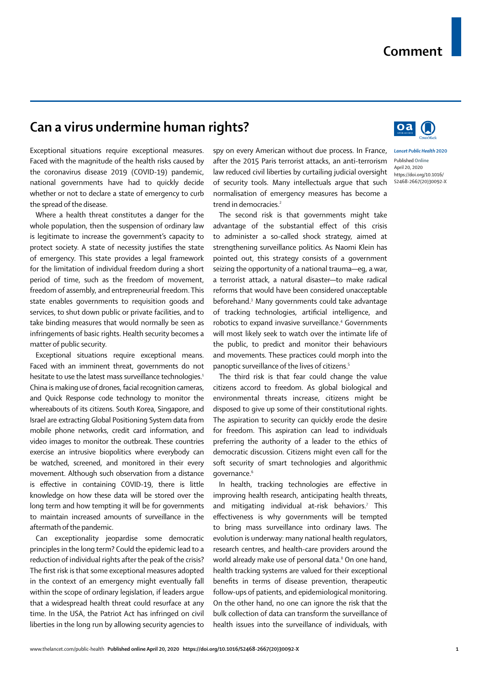## **Can a virus undermine human rights?**

Exceptional situations require exceptional measures. Faced with the magnitude of the health risks caused by the coronavirus disease 2019 (COVID-19) pandemic, national governments have had to quickly decide whether or not to declare a state of emergency to curb the spread of the disease.

Where a health threat constitutes a danger for the whole population, then the suspension of ordinary law is legitimate to increase the government's capacity to protect society. A state of necessity justifies the state of emergency. This state provides a legal framework for the limitation of individual freedom during a short period of time, such as the freedom of movement, freedom of assembly, and entrepreneurial freedom. This state enables governments to requisition goods and services, to shut down public or private facilities, and to take binding measures that would normally be seen as infringements of basic rights. Health security becomes a matter of public security.

Exceptional situations require exceptional means. Faced with an imminent threat, governments do not hesitate to use the latest mass surveillance technologies.<sup>1</sup> China is making use of drones, facial recognition cameras, and Quick Response code technology to monitor the whereabouts of its citizens. South Korea, Singapore, and Israel are extracting Global Positioning System data from mobile phone networks, credit card information, and video images to monitor the outbreak. These countries exercise an intrusive biopolitics where everybody can be watched, screened, and monitored in their every movement. Although such observation from a distance is effective in containing COVID-19, there is little knowledge on how these data will be stored over the long term and how tempting it will be for governments to maintain increased amounts of surveillance in the aftermath of the pandemic.

Can exceptionality jeopardise some democratic principles in the long term? Could the epidemic lead to a reduction of individual rights after the peak of the crisis? The first risk is that some exceptional measures adopted in the context of an emergency might eventually fall within the scope of ordinary legislation, if leaders argue that a widespread health threat could resurface at any time. In the USA, the Patriot Act has infringed on civil liberties in the long run by allowing security agencies to spy on every American without due process. In France, after the 2015 Paris terrorist attacks, an anti-terrorism law reduced civil liberties by curtailing judicial oversight of security tools. Many intellectuals argue that such normalisation of emergency measures has become a trend in democracies<sup>2</sup>

The second risk is that governments might take advantage of the substantial effect of this crisis to administer a so-called shock strategy, aimed at strengthening surveillance politics. As Naomi Klein has pointed out, this strategy consists of a government seizing the opportunity of a national trauma—eg, a war, a terrorist attack, a natural disaster—to make radical reforms that would have been considered unacceptable beforehand.3 Many governments could take advantage of tracking technologies, artificial intelligence, and robotics to expand invasive surveillance.<sup>4</sup> Governments will most likely seek to watch over the intimate life of the public, to predict and monitor their behaviours and movements. These practices could morph into the panoptic surveillance of the lives of citizens.5

The third risk is that fear could change the value citizens accord to freedom. As global biological and environmental threats increase, citizens might be disposed to give up some of their constitutional rights. The aspiration to security can quickly erode the desire for freedom. This aspiration can lead to individuals preferring the authority of a leader to the ethics of democratic discussion. Citizens might even call for the soft security of smart technologies and algorithmic governance.<sup>6</sup>

In health, tracking technologies are effective in improving health research, anticipating health threats, and mitigating individual at-risk behaviors.7 This effectiveness is why governments will be tempted to bring mass surveillance into ordinary laws. The evolution is underway: many national health regulators, research centres, and health-care providers around the world already make use of personal data.<sup>8</sup> On one hand, health tracking systems are valued for their exceptional benefits in terms of disease prevention, therapeutic follow-ups of patients, and epidemiological monitoring. On the other hand, no one can ignore the risk that the bulk collection of data can transform the surveillance of health issues into the surveillance of individuals, with



*Lancet Public Health* **2020** Published **Online** April 20, 2020 https://doi.org/10.1016/ S2468-2667(20)30092-X